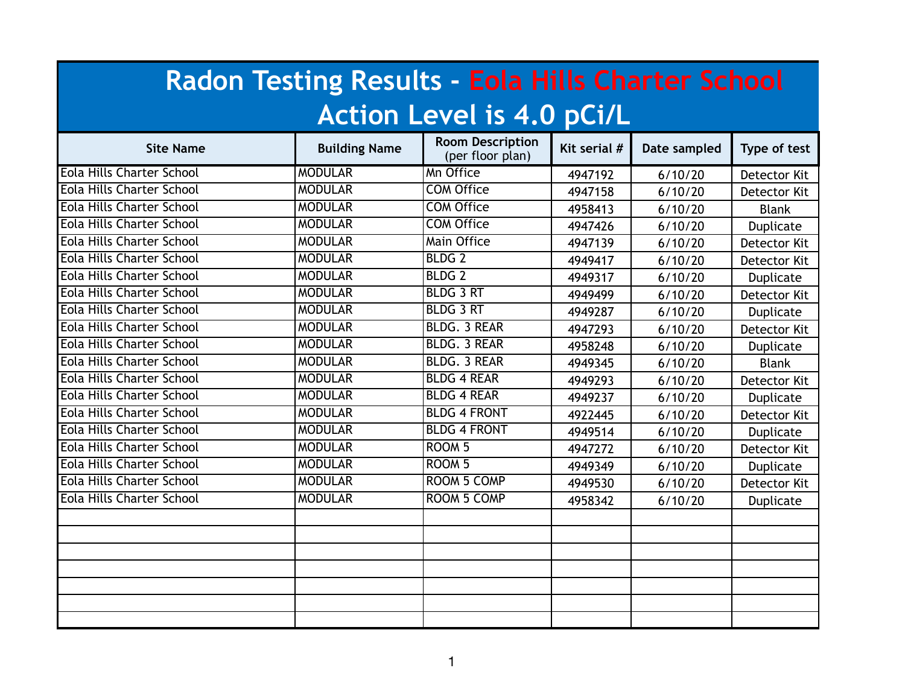| Radon Testing Results - Eola Hills Charter School |                      |                                             |              |              |                     |  |
|---------------------------------------------------|----------------------|---------------------------------------------|--------------|--------------|---------------------|--|
| <b>Action Level is 4.0 pCi/L</b>                  |                      |                                             |              |              |                     |  |
| <b>Site Name</b>                                  | <b>Building Name</b> | <b>Room Description</b><br>(per floor plan) | Kit serial # | Date sampled | Type of test        |  |
| <b>Eola Hills Charter School</b>                  | <b>MODULAR</b>       | <b>Mn Office</b>                            | 4947192      | 6/10/20      | Detector Kit        |  |
| <b>Eola Hills Charter School</b>                  | <b>MODULAR</b>       | <b>COM Office</b>                           | 4947158      | 6/10/20      | Detector Kit        |  |
| <b>Eola Hills Charter School</b>                  | <b>MODULAR</b>       | <b>COM Office</b>                           | 4958413      | 6/10/20      | <b>Blank</b>        |  |
| <b>Eola Hills Charter School</b>                  | <b>MODULAR</b>       | <b>COM Office</b>                           | 4947426      | 6/10/20      | Duplicate           |  |
| <b>Eola Hills Charter School</b>                  | <b>MODULAR</b>       | <b>Main Office</b>                          | 4947139      | 6/10/20      | <b>Detector Kit</b> |  |
| <b>Eola Hills Charter School</b>                  | <b>MODULAR</b>       | <b>BLDG 2</b>                               | 4949417      | 6/10/20      | Detector Kit        |  |
| <b>Eola Hills Charter School</b>                  | <b>MODULAR</b>       | <b>BLDG 2</b>                               | 4949317      | 6/10/20      | <b>Duplicate</b>    |  |
| <b>Eola Hills Charter School</b>                  | <b>MODULAR</b>       | <b>BLDG 3 RT</b>                            | 4949499      | 6/10/20      | <b>Detector Kit</b> |  |
| <b>Eola Hills Charter School</b>                  | <b>MODULAR</b>       | <b>BLDG 3 RT</b>                            | 4949287      | 6/10/20      | <b>Duplicate</b>    |  |
| Eola Hills Charter School                         | <b>MODULAR</b>       | <b>BLDG. 3 REAR</b>                         | 4947293      | 6/10/20      | Detector Kit        |  |
| <b>Eola Hills Charter School</b>                  | <b>MODULAR</b>       | <b>BLDG. 3 REAR</b>                         | 4958248      | 6/10/20      | Duplicate           |  |
| <b>Eola Hills Charter School</b>                  | <b>MODULAR</b>       | <b>BLDG. 3 REAR</b>                         | 4949345      | 6/10/20      | <b>Blank</b>        |  |
| <b>Eola Hills Charter School</b>                  | <b>MODULAR</b>       | <b>BLDG 4 REAR</b>                          | 4949293      | 6/10/20      | <b>Detector Kit</b> |  |
| <b>Eola Hills Charter School</b>                  | <b>MODULAR</b>       | <b>BLDG 4 REAR</b>                          | 4949237      | 6/10/20      | <b>Duplicate</b>    |  |
| <b>Eola Hills Charter School</b>                  | <b>MODULAR</b>       | <b>BLDG 4 FRONT</b>                         | 4922445      | 6/10/20      | Detector Kit        |  |
| Eola Hills Charter School                         | <b>MODULAR</b>       | <b>BLDG 4 FRONT</b>                         | 4949514      | 6/10/20      | <b>Duplicate</b>    |  |
| <b>Eola Hills Charter School</b>                  | <b>MODULAR</b>       | ROOM <sub>5</sub>                           | 4947272      | 6/10/20      | Detector Kit        |  |
| <b>Eola Hills Charter School</b>                  | <b>MODULAR</b>       | ROOM <sub>5</sub>                           | 4949349      | 6/10/20      | Duplicate           |  |
| <b>Eola Hills Charter School</b>                  | <b>MODULAR</b>       | <b>ROOM 5 COMP</b>                          | 4949530      | 6/10/20      | Detector Kit        |  |
| <b>Eola Hills Charter School</b>                  | <b>MODULAR</b>       | <b>ROOM 5 COMP</b>                          | 4958342      | 6/10/20      | <b>Duplicate</b>    |  |
|                                                   |                      |                                             |              |              |                     |  |
|                                                   |                      |                                             |              |              |                     |  |
|                                                   |                      |                                             |              |              |                     |  |
|                                                   |                      |                                             |              |              |                     |  |
|                                                   |                      |                                             |              |              |                     |  |
|                                                   |                      |                                             |              |              |                     |  |
|                                                   |                      |                                             |              |              |                     |  |